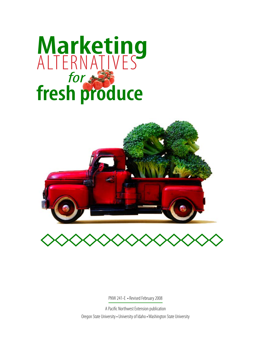# **Marketing** *for* **fresh produce** ALTERNATIVE





PNW 241-E • Revised February 2008

A Pacific Northwest Extension publication Oregon State University • University of Idaho • Washington State University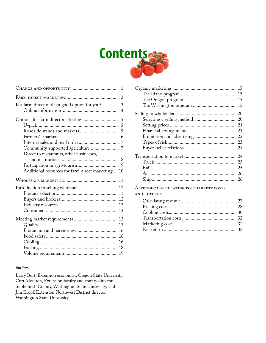

| Is a farm direct outlet a good option for you? 3  |
|---------------------------------------------------|
|                                                   |
|                                                   |
|                                                   |
|                                                   |
|                                                   |
|                                                   |
|                                                   |
| Direct to restaurants, other businesses,          |
|                                                   |
|                                                   |
| Additional resources for farm direct marketing 10 |
|                                                   |
| Introduction to selling wholesale 11              |
|                                                   |
|                                                   |
|                                                   |
|                                                   |
|                                                   |
|                                                   |
|                                                   |
|                                                   |
|                                                   |
|                                                   |
|                                                   |

#### *Authors*

Larry Burt, Extension economist, Oregon State University; Curt Moulton, Extension faculty and county director, Snohomish County, Washington State University; and Jim Kropf, Extension Northwest District director, Washington State University.

### Appendix: Calculating postharvest costs

# AND RETURNS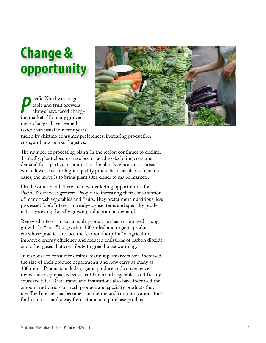# **Change & opportunity**

**P**acific Northwest vege-<br>
table and fruit growers<br>
always have faced chang-<br>
ing markets. To many growers, acific Northwest vegetable and fruit growers always have faced chang these changes have seemed faster than usual in recent years,



fueled by shifting consumer preferences, increasing production costs, and new market logistics.

The number of processing plants in the region continues to decline. Typically, plant closures have been traced to declining consumer demand for a particular product or the plant's relocation to areas where lower costs or higher quality products are available. In some cases, the move is to bring plant sites closer to major markets.

On the other hand, there are new marketing opportunities for Pacific Northwest growers. People are increasing their consumption of many fresh vegetables and fruits. They prefer more nutritious, less processed food. Interest in ready-to-use items and specialty prod ucts is growing. Locally grown products are in demand.

Renewed interest in sustainable production has encouraged strong growth for "local" (i.e., within 100 miles) and organic produc ers whose practices reduce the "carbon footprint" of agriculture: improved energy efficiency and reduced emissions of carbon dioxide and other gases that contribute to greenhouse warming.

In response to consumer desires, many supermarkets have increased the size of their produce departments and now carry as many as 300 items. Products include organic produce and convenience items such as prepacked salad, cut fruits and vegetables, and freshly squeezed juice. Restaurants and institutions also have increased the amount and variety of fresh produce and specialty products they use. The Internet has become a marketing and communications tool for businesses and a way for customers to purchase products.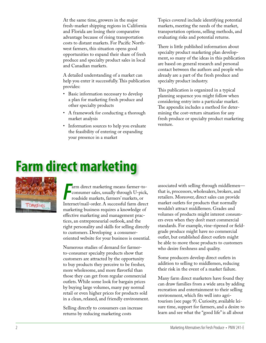At the same time, growers in the major fresh-market shipping regions in California and Florida are losing their comparative advantage because of rising transportation costs to distant markets. For Pacific Northwest farmers, this situation opens good opportunities to expand their share of fresh produce and specialty product sales in local and Canadian markets.

A detailed understanding of a market can help you enter it successfully. This publication provides:

- Basic information necessary to develop a plan for marketing fresh produce and other specialty products
- A framework for conducting a thorough market analysis
- • Information sources to help you evaluate the feasibility of entering or expanding your presence in a market

Topics covered include identifying potential markets, meeting the needs of the market, transportation options, selling methods, and evaluating risks and potential returns.

There is little published information about specialty product marketing plan development, so many of the ideas in this publication are based on general research and personal contact between the authors and people who already are a part of the fresh produce and specialty product industry.

This publication is organized in a typical planning sequence you might follow when considering entry into a particular market. The appendix includes a method for determining the cost–return situation for any fresh produce or specialty product marketing venture.

# **Farm direct marketing**



Farm direct marketing means farmer-to-consumer sales, usually through U-pick, roadside markets, farmers' markets, or<br>Internet/mail-order. A successful farm direct arm direct marketing means farmer-toconsumer sales, usually through U-pick, roadside markets, farmers' markets, or marketing business requires a knowledge of effective marketing and management practices, an entrepreneurial outlook, and the right personality and skills for selling directly to customers. Developing a consumeroriented website for your business is essential.

Numerous studies of demand for farmerto-consumer specialty products show that customers are attracted by the opportunity to buy products they perceive to be fresher, more wholesome, and more flavorful than those they can get from regular commercial outlets. While some look for bargain prices by buying large volumes, many pay normal retail or even higher prices for products sold in a clean, relaxed, and friendly environment.

Selling directly to consumers can increase returns by reducing marketing costs

associated with selling through middlemen that is, processors, wholesalers, brokers, and retailers. Moreover, direct sales can provide market outlets for products that normally wouldn't attract middlemen. Grades and volumes of products might interest consumers even when they don't meet commercial standards. For example, vine-ripened or fieldgrade produce might have no commercial outlet, but established direct outlets might be able to move those products to customers who desire freshness and quality.

Some producers develop direct outlets in addition to selling to middlemen, reducing their risk in the event of a market failure.

Many farm direct marketers have found they can draw families from a wide area by adding recreation and entertainment to their selling environment, which fits well into agritourism (see page 9). Curiosity, available leisure time, support for farmers, and a desire to learn and see what the "good life" is all about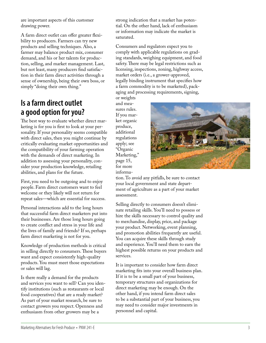are important aspects of this customer drawing power.

A farm direct outlet can offer greater flexibility to producers. Farmers can try new products and selling techniques. Also, a farmer may balance product mix, consumer demand, and his or her talents for produc tion, selling, and market management. Last, but not least, many producers find satisfac tion in their farm direct activities through a sense of ownership, being their own boss, or simply "doing their own thing."

# **Is a farm direct outlet a good option for you?**

The best way to evaluate whether direct marketing is for you is first to look at your per sonality. If your personality seems compatible with direct sales, then you might continue by critically evaluating market opportunities and the compatibility of your farming operation with the demands of direct marketing. In addition to assessing your personality, con sider your production knowledge, retailing abilities, and plans for the future.

First, you need to be outgoing and to enjoy people. Farm direct customers want to feel welcome or they likely will not return for repeat sales—which are essential for success.

Personal interactions add to the long hours that successful farm direct marketers put into their businesses. Are those long hours going to create conflict and stress in your life and the lives of family and friends? If so, perhaps farm direct marketing is not for you.

Knowledge of production methods is critical in selling directly to consumers. These buyers want and expect consistently high-quality products. You must meet those expectations or sales will lag.

Is there really a demand for the products and services you want to sell? Can you iden tify institutions (such as restaurants or local food cooperatives) that are a ready market? As part of your market research, be sure to contact growers you respect. Openness and enthusiasm from other growers may be a

strong indication that a market has poten tial. On the other hand, lack of enthusiasm or information may indicate the market is saturated.

Consumers and regulators expect you to comply with applicable regulations on grad ing standards, weighing equipment, and food safety. There may be legal restrictions such as licensing, inspections, zoning, highway access, market orders (i.e., a grower-approved, legally binding instrument that specifies how a farm commodity is to be marketed), pack aging and processing requirements, signing,

or weights and mea sures rules. If you mar ket organic produce, additional regulations apply; see "Organic Marketing," page 15, for more informa -



tion. To avoid any pitfalls, be sure to contact your local government and state depart ment of agriculture as a part of your market assessment.

Selling directly to consumers doesn't elimi nate retailing skills. You'll need to possess or hire the skills necessary to control quality and to merchandise, display, price, and package your product. Networking, event planning, and promotion abilities frequently are useful. You can acquire these skills through study and experience. You'll need them to earn the highest possible returns on your products and services.

It is important to consider how farm direct marketing fits into your overall business plan. If it is to be a small part of your business, temporary structures and organizations for direct marketing may be enough. On the other hand, if you intend farm direct sales to be a substantial part of your business, you may need to consider major investments in personnel and capital.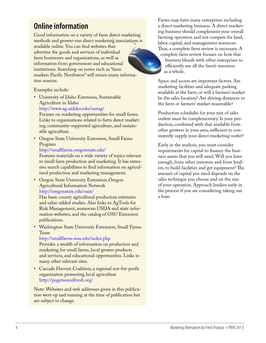# **Online information**

Good information on a variety of farm direct marketing methods and grower-run direct marketing associations is available online. You can find websites that advertise the goods and services of individual farm businesses and organizations, as well as information from government and educational institutions. Searching on terms such as "farm markets Pacific Northwest" will return many information sources.

Examples include:

• University of Idaho Extension, Sustainable Agriculture in Idaho http://www.ag.uidaho.edu/sustag/

Focuses on marketing opportunities for small farms. Links to organizations related to farm direct marketing, community-supported agriculture, and sustainable agriculture.

• Oregon State University Extension, Small Farms Program

#### http://smallfarms.oregonstate.edu/

Features materials on a wide variety of topics relevant to small farm production and marketing. It has extensive search capabilities to find information on agricultural production and marketing management.

• Oregon State University Extension, Oregon Agricultural Information Network http://oregonstate.edu/oain/

Has basic county agricultural production estimates and value-added studies. Also links to AgTools for Risk Management, numerous USDA and state information websites, and the catalog of OSU Extension publications.

• Washington State University Extension, Small Farms Team

http://smallfarms.wsu.edu/index.php

Provides a wealth of information on production and marketing for small farms, local grower products and services, and educational opportunities. Links to many other relevant sites.

• Cascade Harvest Coalition, a regional not-for-profit organization promoting local agriculture http://pugetsoundfresh.org/

Note: Websites and web addresses given in this publication were up and running at the time of publication but are subject to change.

Farms may have many enterprises including a direct marketing business. A direct marketing business should complement your overall farming operation and not compete for land, labor, capital, and management resources. Thus, a complete farm review is necessary. A complete farm review focuses on how that business blends with other enterprises to efficiently use all the farm's resources as a whole.

Space and access are important factors. Are marketing facilities and adequate parking available at the farm, or will a farmers' market be the sales location? Are driving distances to the farm or farmers' market reasonable?

Production schedules for your mix of sales outlets must be complementary. Is your production, combined with that available from other growers in your area, sufficient to consistently supply your direct marketing outlet?

Early in the analysis, you must consider requirements for capital to finance the business assets that you will need. Will you have enough, from other investors and from lenders, to build facilities and get equipment? The amount of capital you need depends on the sales technique you choose and on the size of your operation. Approach lenders early in the process if you are considering taking out a loan.

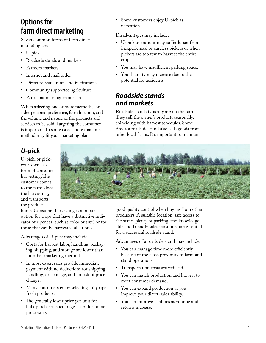# **Options for farm direct marketing**

Seven common forms of farm direct marketing are:

- • U-pick
- Roadside stands and markets
- Farmers' markets
- Internet and mail order
- Direct to restaurants and institutions
- Community supported agriculture
- • Participation in agri-tourism

When selecting one or more methods, con sider personal preference, farm location, and the volume and nature of the products and services to be sold. Targeting the consumer is important. In some cases, more than one method may fit your marketing plan.

# *U-pick*

U-pick, or pickyour-own, is a form of consumer harvesting. The customer comes to the farm, does the harvesting, and transports the product



Some customers enjoy U-pick as

• U-pick operations may suffer losses from inexperienced or careless pickers or when pickers are too few to harvest the entire

• You may have insufficient parking space. • Your liability may increase due to the

Roadside stands typically are on the farm. They sell the owner's products seasonally, coinciding with harvest schedules. Some times, a roadside stand also sells goods from other local farms. It's important to maintain

Disadvantages may include:

potential for accidents.

*Roadside stands* 

*and markets*

recreation.

crop.

home. Consumer harvesting is a popular option for crops that have a distinctive indi cator of ripeness (such as color or size) or for those that can be harvested all at once.

Advantages of U-pick may include:

- • Costs for harvest labor, handling, packag ing, shipping, and storage are lower than for other marketing methods.
- • In most cases, sales provide immediate payment with no deductions for shipping, handling, or spoilage, and no risk of price change.
- • Many consumers enjoy selecting fully ripe, fresh products.
- The generally lower price per unit for bulk purchases encourages sales for home processing.

good quality control when buying from other producers. A suitable location, safe access to the stand, plenty of parking, and knowledge able and friendly sales personnel are essential for a successful roadside stand.

Advantages of a roadside stand may include:

- You can manage time more efficiently because of the close proximity of farm and stand operations.
- • Transportation costs are reduced.
- You can match production and harvest to meet consumer demand.
- • You can expand production as you improve your direct-sales ability.
- You can improve facilities as volume and returns increase.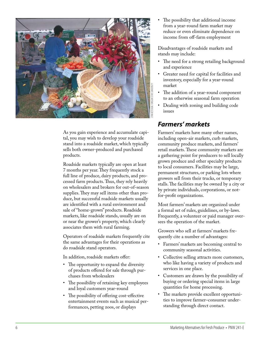

As you gain experience and accumulate capi tal, you may wish to develop your roadside stand into a roadside market, which typically sells both owner-produced and purchased products.

Roadside markets typically are open at least 7 months per year. They frequently stock a full line of produce, dairy products, and pro cessed farm products. Thus, they rely heavily on wholesalers and brokers for out-of-season supplies. They may sell items other than pro duce, but successful roadside markets usually are identified with a rural environment and sale of "home-grown" products. Roadside markets, like roadside stands, usually are on or near the grower's property, which clearly associates them with rural farming.

Operators of roadside markets frequently cite the same advantages for their operations as do roadside stand operators.

In addition, roadside markets offer:

- The opportunity to expand the diversity of products offered for sale through pur chases from wholesalers
- The possibility of retaining key employees and loyal customers year-round
- The possibility of offering cost-effective entertainment events such as musical per formances, petting zoos, or displays

The possibility that additional income from a year-round farm market may reduce or even eliminate dependence on income from off-farm employment

Disadvantages of roadside markets and stands may include:

- The need for a strong retailing background and experience
- • Greater need for capital for facilities and inventory, especially for a year-round market
- The addition of a year-round component to an otherwise seasonal farm operation
- Dealing with zoning and building code issues

### *Farmers' markets*

Farmers' markets have many other names, including open-air markets, curb markets, community produce markets, and farmers' retail markets. These community markets are a gathering point for producers to sell locally grown produce and other specialty products to local consumers. Facilities may be large, permanent structures, or parking lots where growers sell from their trucks, or temporary stalls. The facilities may be owned by a city or by private individuals, corporations, or notfor-profit organizations.

Most farmers' markets are organized under a formal set of rules, guidelines, or by-laws. Frequently, a volunteer or paid manager over sees the operation of the market.

Growers who sell at farmers' markets fre quently cite a number of advantages:

- • Farmers' markets are becoming central to community seasonal activities.
- • Collective selling attracts more customers, who like having a variety of products and services in one place.
- • Customers are drawn by the possibility of buying or ordering special items in large quantities for home processing.
- The markets provide excellent opportunities to improve farmer–consumer under standing through direct contact.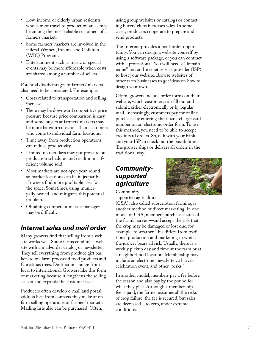- Low-income or elderly urban residents who cannot travel to production areas may be among the most reliable customers of a farmers' market.
- • Some farmers' markets are involved in the federal Women, Infants, and Children (WIC) Program.
- • Entertainment such as music or special events may be more affordable when costs are shared among a number of sellers.

Potential disadvantages of farmers' markets also need to be considered. For example:

- Costs related to transportation and selling increase.
- There may be downward competitive price pressure because price comparison is easy, and some buyers at farmers' markets may be more bargain-conscious than customers who come to individual farm locations.
- • Time away from production operations can reduce productivity.
- • Limited market days may put pressure on production schedules and result in insufficient volume sold.
- Most markets are not open year-round, so market locations can be in jeopardy if owners find more profitable uses for the space. Sometimes, using munici pally owned land mitigates this potential problem.
- Obtaining competent market managers may be difficult.

# *Internet sales and mail order*

Many growers find that selling from a web site works well. Some farms combine a web site with a mail-order catalog or newsletter. They sell everything from produce gift bas kets to on-farm processed food products and Christmas trees. Destinations range from local to international. Growers like this form of marketing because it lengthens the selling season and expands the customer base.

Producers often develop e-mail and postal address lists from contacts they make at onfarm selling operations or farmers' markets. Mailing lists also can be purchased. Often,

using group websites or catalogs or contact ing buyers' clubs increases sales. In some cases, producers cooperate to prepare and send products.

The Internet provides a mail-order opportunity. You can design a website yourself by using a software package, or you can contract with a professional. You will need a "domain name" and an Internet service provider (ISP) to host your website. Browse websites of other farm businesses to get ideas on how to design your own.

Often, growers include order forms on their website, which customers can fill out and submit, either electronically or by regular mail. Increasingly, customers pay for online purchases by entering their bank charge card number on an electronic order form. To use this method, you need to be able to accept credit card orders. So, talk with your bank and your ISP to check out the possibilities. The grower ships or delivers all orders in the traditional way.

### *Communitysupported agriculture*

Community-

supported agriculture

(CSA), also called subscription farming, is another method of direct marketing. In one model of CSA, members purchase shares of the farm's harvest—and accept the risk that the crop may be damaged or lost due, for example, to weather. This differs from tradi tional production and marketing in which the grower bears all risk. Usually, there is a weekly pickup day and time at the farm or at a neighborhood location. Membership may include an electronic newsletter, a harvest celebration event, and other "perks."

In another model, members pay a fee before the season and also pay by the pound for what they pick. Although a membership fee is paid, the farmer assumes all the risks of crop failure: the fee is secured, but sales are decreased—to zero, under extreme conditions.

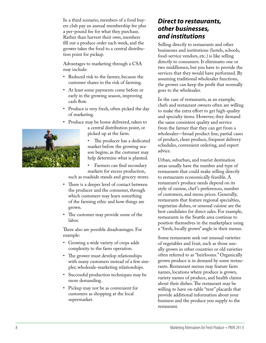In a third scenario, members of a food buy ers club pay an annual membership fee plus a per-pound fee for what they purchase. Rather than harvest their own, members fill out a produce order each week, and the grower takes the food to a central distribu tion point for pickup.

Advantages to marketing through a CSA may include:

- • Reduced risk to the farmer, because the customer shares in the risk of farming.
- • At least some payments come before or early in the growing season, improving cash flow.
- Produce is very fresh, often picked the day of marketing.
- Produce may be home delivered, taken to a central distribution point, or picked up at the farm.

• The producer has a dedicated market before the growing sea son begins, as the customer may help determine what is planted.

Farmers can find secondary markets for excess production, such as roadside stands and grocery stores.

- There is a deeper level of contact between the producer and the consumer, through which customers may learn something of the farming ethic and how things are
- The customer may provide some of the labor.

grown.

There also are possible disadvantages. For example:

- • Growing a wide variety of crops adds complexity to the farm operation.
- The grower must develop relationships with many customers instead of a few sim pler, wholesale-marketing relationships.
- Successful production techniques may be more demanding.
- Pickup may not be as convenient for customers as shopping at the local supermarket.

### *Direct to restaurants, other businesses, and institutions*

Selling directly to restaurants and other businesses and institutions (hotels, schools, food-service vendors, etc.) is like selling directly to consumers. It eliminates one or two middlemen, but you have to provide the services that they would have performed. By assuming traditional wholesaler functions, the grower can keep the profit that normally goes to the wholesaler.

In the case of restaurants, as an example, chefs and restaurant owners often are willing to make the extra effort to get high-quality and specialty items. However, they demand the same consistent quality and service from the farmer that they can get from a wholesaler—broad product line, partial cases of product, clean produce, frequent delivery schedules, convenient ordering, and expert advice.

Urban, suburban, and tourist destination areas usually have the number and type of restaurants that could make selling directly to restaurants economically feasible. A restaurant's produce needs depend on its style of cuisine, chef 's preferences, number of customers, and menu prices. Generally, restaurants that feature regional specialties, vegetarian dishes, or unusual cuisine are the best candidates for direct sales. For example, restaurants in the Seattle area continue to position themselves in the marketplace using a "fresh, locally grown" angle in their menus.

Some restaurants seek out unusual varieties of vegetables and fruit, such as those usu ally grown in other countries or old varieties often referred to as "heirlooms." Organically grown produce is in demand by some restau rants. Restaurant menus may feature farm names, locations where produce is grown, variety names of produce, and health claims about their dishes. The restaurant may be willing to have on-table "tent" placards that provide additional information about your business and the produce you supply to the restaurant.

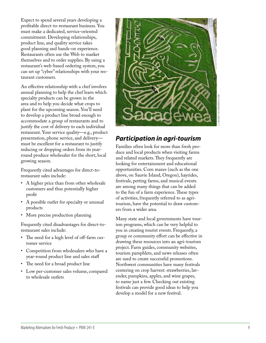Expect to spend several years developing a profitable direct-to-restaurant business. You must make a dedicated, service-oriented commitment. Developing relationships, product line, and quality service takes good planning and hands-on experience. Restaurants often use the Web to market themselves and to order supplies. By using a restaurant's web-based ordering system, you can set up "cyber" relationships with your res taurant customers.

An effective relationship with a chef involves annual planning to help the chef learn which specialty products can be grown in the area and to help you decide what crops to plant for the upcoming season. You'll need to develop a product line broad enough to accommodate a group of restaurants and to justify the cost of delivery to each individual restaurant. Your service quality—e.g., product presentation, phone service, and delivery must be excellent for a restaurant to justify reducing or dropping orders from its yearround produce wholesaler for the short, local growing season.

Frequently cited advantages for direct-torestaurant sales include:

- • A higher price than from other wholesale customers and thus potentially higher profit
- • A possible outlet for specialty or unusual products
- • More precise production planning

Frequently cited disadvantages for direct-torestaurant sales include:

- The need for a high level of off-farm customer service
- Competition from wholesalers who have a year-round product line and sales staff
- The need for a broad product line
- • Low per-customer sales volume, compared to wholesale outlets



### *Participation in agri-tourism*

Families often look for more than fresh pro duce and local products when visiting farms and related markets. They frequently are looking for entertainment and educational opportunities. Corn mazes (such as the one above, on Sauvie Island, Oregon), hayrides, festivals, petting farms, and musical events are among many things that can be added to the fun of a farm experience. These types of activities, frequently referred to as agritourism, have the potential to draw custom ers from a wider area.

Many state and local governments have tour ism programs, which can be very helpful to you in creating tourist events. Frequently, a group or community effort can be effective in drawing these resources into an agri-tourism project. Farm guides, community websites, tourism pamphlets, and news releases often are used to create successful promotions. Northwest communities have many festivals centering on crop harvest: strawberries, lav ender, pumpkins, apples, and wine grapes, to name just a few. Checking out existing festivals can provide good ideas to help you develop a model for a new festival.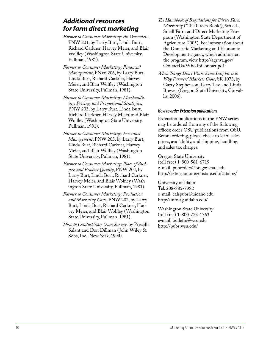### *Additional resources for farm direct marketing*

- *Farmer to Consumer Marketing: An Overview*, PNW 201, by Larry Burt, Linda Burt, Richard Carkner, Harvey Meier, and Blair Wolfley (Washington State University, Pullman, 1981).
- *Farmer to Consumer Marketing: Financial Management*, PNW 206, by Larry Burt, Linda Burt, Richard Carkner, Harvey Meier, and Blair Wolfley (Washington State University, Pullman, 1981).
- *Farmer to Consumer Marketing: Merchandising, Pricing, and Promotional Strategies*, PNW 203, by Larry Burt, Linda Burt, Richard Carkner, Harvey Meier, and Blair Wolfley (Washington State University, Pullman, 1981).
- *Farmer to Consumer Marketing: Personnel Management*, PNW 205, by Larry Burt, Linda Burt, Richard Carkner, Harvey Meier, and Blair Wolfley (Washington State University, Pullman, 1981).
- *Farmer to Consumer Marketing: Place of Business and Product Quality*, PNW 204, by Larry Burt, Linda Burt, Richard Carkner, Harvey Meier, and Blair Wolfley (Washington State University, Pullman, 1981).
- *Farmer to Consumer Marketing: Production and Marketing Costs*, PNW 202, by Larry Burt, Linda Burt, Richard Carkner, Harvey Meier, and Blair Wolfley (Washington State University, Pullman, 1981).
- *How to Conduct Your Own Survey*, by Priscilla Salant and Don Dillman ( John Wiley & Sons, Inc., New York, 1994).
- *The Handbook of Regulations for Direct Farm Marketing* ("The Green Book"), 5th ed., Small Farm and Direct Marketing Program (Washington State Department of Agriculture, 2005). For information about the Domestic Marketing and Economic Development agency, which administers the program, view http://agr.wa.gov/ ContactUs/WhoToContact.pdf
- *When Things Don't Work: Some Insights into Why Farmers' Markets Close*, SR 1073, by Garry Stephenson, Larry Lev, and Linda Brewer (Oregon State University, Corvallis, 2006).

#### *How to order Extension publications*

Extension publications in the PNW series may be ordered from any of the following offices; order OSU publications from OSU. Before ordering, please check to learn sales prices, availability, and shipping, handling, and sales tax charges.

Oregon State University (toll free) 1-800-561-6719 e-mail puborders@oregonstate.edu http://extension.oregonstate.edu/catalog/

University of Idaho Tel. 208-885-7982 e-mail calspubs@uidaho.edu http://info.ag.uidaho.edu/

Washington State University (toll free) 1-800-723-1763 e-mail bulletin@wsu.edu http://pubs.wsu.edu/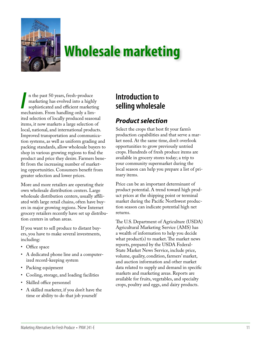

# **Wholesale marketing**

In the past 50 years, fresh-produce<br>
marketing has evolved into a highly<br>
sophisticated and efficient marketin<br>
mechanism. From handling only a limn the past 50 years, fresh-produce marketing has evolved into a highly sophisticated and efficient marketing ited selection of locally produced seasonal items, it now markets a large selection of local, national, and international products. Improved transportation and communication systems, as well as uniform grading and packing standards, allow wholesale buyers to shop in various growing regions to find the product and price they desire. Farmers benefit from the increasing number of marketing opportunities. Consumers benefit from greater selection and lower prices.

More and more retailers are operating their own wholesale distribution centers. Large wholesale distribution centers, usually affiliated with large retail chains, often have buyers in major growing regions. New Internet grocery retailers recently have set up distribution centers in urban areas.

If you want to sell produce to distant buyers, you have to make several investments, including:

- Office space
- • A dedicated phone line and a computerized record-keeping system
- Packing equipment
- Cooling, storage, and loading facilities
- Skilled office personnel
- A skilled marketer, if you don't have the time or ability to do that job yourself

# **Introduction to selling wholesale**

# *Product selection*

Select the crops that best fit your farm's production capabilities and that serve a market need. At the same time, don't overlook opportunities to grow previously untried crops. Hundreds of fresh produce items are available in grocery stores today; a trip to your community supermarket during the local season can help you prepare a list of primary items.

Price can be an important determinant of product potential. A trend toward high product prices at the shipping point or terminal market during the Pacific Northwest production season can indicate potential high net returns.

The U.S. Department of Agriculture (USDA) Agricultural Marketing Service (AMS) has a wealth of information to help you decide what product(s) to market. The market news reports, prepared by the USDA Federal-State Market News Service, include price, volume, quality, condition, farmers' market, and auction information and other market data related to supply and demand in specific markets and marketing areas. Reports are available for fruits, vegetables, and specialty crops, poultry and eggs, and dairy products.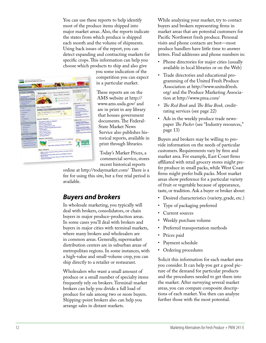You can use these reports to help identify most of the produce items shipped into major market areas. Also, the reports indicate the states from which produce is shipped each month and the volume of shipments. Using back issues of the report, you can detect expanding and contracting markets for specific crops. This information can help you choose which products to ship and also give



you some indication of the competition you can expect in a particular market.

These reports are on the AMS website at http:// www.ams.usda.gov/ and are in print in any library that houses government documents. The Federal-State Market News Service also publishes his torical reports, available in print through libraries.

Today's Market Prices, a commercial service, stores recent historical reports

online at http://todaymarket.com/ There is a fee for using this site, but a free trial period is available .

### *Buyers and brokers*

In wholesale marketing, you typically will deal with brokers, consolidators, or chain buyers in major produce-production areas. In some cases you'll deal with brokers and buyers in major cities with terminal markets, where many brokers and wholesalers are in common areas. Generally, supermarket distribution centers are in suburban areas of metropolitan regions. In some instances, with a high-value and small-volume crop, you can ship directly to a retailer or restaurant.

Wholesalers who want a small amount of produce or a small number of specialty items frequently rely on brokers. Terminal-market brokers can help you divide a full load of produce for sale among two or more buyers. Shipping-point brokers also can help you arrange sales in distant markets.

While analyzing your market, try to contact buyers and brokers representing firms in market areas that are potential customers for Pacific Northwest fresh produce. Personal visits and phone contacts are best—most produce handlers have little time to answer letters. Find addresses and phone numbers in:

- • Phone directories for major cities (usually available in local libraries or on the Web)
- Trade directories and educational programming of the United Fresh Produce Association at http://www.unitedfresh. org/ and the Produce Marketing Associa tion at http://www.pma.com/
- The Red Book and The Blue Book, creditrating services (see page 22)
- Ads in the weekly produce trade newspaper *The Packer* (see "Industry resources," page 13)

Buyers and brokers may be willing to pro vide information on the needs of particular customers. Requirements vary by firm and market area. For example, East Coast firms affiliated with retail grocery stores might pre fer produce in small packs, while West Coast firms might prefer bulk packs. Most market areas show preference for a particular variety of fruit or vegetable because of appearance, taste, or tradition. Ask a buyer or broker about:

- Desired characteristics (variety, grade, etc.)
- Type of packaging preferred
- • Current sources
- Weekly purchase volume
- Preferred transportation methods
- Prices paid
- Payment schedule
- • Ordering procedures

Solicit this information for each market area you consider. It can help you get a good pic ture of the demand for particular products and the procedures needed to get them into the market. After surveying several market areas, you can compare composite descrip tions of each market. You then can analyze further those with the most potential.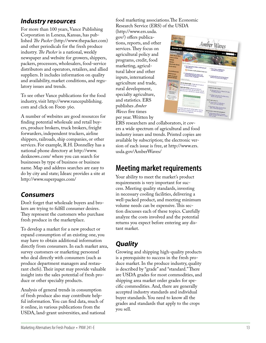### *Industry resources*

For more than 100 years, Vance Publishing Corporation in Lenexa, Kansas, has pub lished *The Packer* (http://www.thepacker.com) and other periodicals for the fresh produce industry. *The Packer* is a national, weekly newspaper and website for growers, shippers, packers, processors, wholesalers, food-service distributors and operators, retailers, and allied suppliers. It includes information on quality and availability, market conditions, and regu latory issues and trends.

To see other Vance publications for the food industry, visit http://www.vancepublishing. co m and click on Food 360.

A number of websites are good resources for finding potential wholesale and retail buy ers, produce brokers, truck brokers, freight forwarders, independent truckers, airline shippers, railroads, ship companies, or other services. For example, R.H. Donnelley has a national phone directory at http://www. dexknows.com/ where you can search for businesses by type of business or business name. Map and address searches are easy to do by city and state; Idearc provides a site at http://www.superpages.com/

## *Consumers*

Don't forget that wholesale buyers and bro kers are trying to fulfill consumer desires. They represent the customers who purchase fresh produce in the marketplace.

To develop a market for a new product or expand consumption of an existing one, you may have to obtain additional information directly from consumers. In each market area, survey customers or marketing personnel who deal directly with consumers (such as produce department managers and restau rant chefs). Their input may provide valuable insight into the sales potential of fresh pro duce or other specialty products.

Analysis of general trends in consumption of fresh produce also may contribute help ful information. You can find data, much of it online, in various publications from the USDA, land-grant universities, and national food marketing associations.The Economic Research Service (ERS) of the USDA

(http://www.ers.usda. gov/) offers publica tions, reports, and other services. They focus on agricultural policy and programs, credit, food marketing, agricul tural labor and other inputs, international agriculture and trade, rural development, specialty agriculture, and statistics. ERS publishes *Amber Waves* five times per year. Written by



ERS researchers and collaborators, it cov ers a wide spectrum of agricultural and food industry issues and trends. Printed copies are available by subscription; the electronic ver sion of each issue is free, at http://www.ers. usda.gov/AmberWaves/

# **Meeting market requirements**

Your ability to meet the market's product requirements is very important for suc cess. Meeting quality standards, investing in necessary cooling facilities, delivering a well-packed product, and meeting minimum volume needs can be expensive. This sec tion discusses each of these topics. Carefully analyze the costs involved and the potential returns you expect before entering any dis tant market.

# *Quality*

Growing and shipping high-quality products is a prerequisite to success in the fresh pro duce market. In the produce industry, quality is described by "grade" and "standard." There are USDA grades for most commodities, and shipping area market order grades for spe cific commodities. And, there are generally accepted industry standards and individual buyer standards. You need to know all the grades and standards that apply to the crops you sell.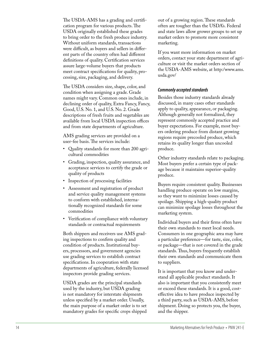The USDA-AMS has a grading and certification program for various products. The USDA originally established these grades to bring order to the fresh produce industry. Without uniform standards, transactions were difficult, as buyers and sellers in different parts of the country often had different definitions of quality. Certification services assure large-volume buyers that products meet contract specifications for quality, pro cessing, size, packaging, and delivery.

The USDA considers size, shape, color, and condition when assigning a grade. Grade names might vary. Common ones include, in declining order of quality, Extra Fancy, Fancy, Good, U.S. No. 1, and U.S. No. 2. Grade descriptions of fresh fruits and vegetables are available from local USDA inspection offices and from state departments of agriculture.

AMS grading services are provided on a user-fee basis. The services include:

- • Quality standards for more than 200 agricultural commodities
- • Grading, inspection, quality assurance, and acceptance services to certify the grade or quality of products
- Inspection of processing facilities
- Assessment and registration of product and service quality management systems to conform with established, interna tionally recognized standards for some commodities
- • Verification of compliance with voluntary standards or contractual requirements

Both shippers and receivers use AMS grad ing inspections to confirm quality and condition of products. Institutional buy ers, processors, and government agencies use grading services to establish contract specifications. In cooperation with state departments of agriculture, federally licensed inspectors provide grading services.

USDA grades are the principal standards used by the industry, but USDA grading is not mandatory for interstate shipments unless specified by a market order. Usually, the main purpose of a market order is to set mandatory grades for specific crops shipped out of a growing region. These standards often are tougher than the USDA's. Federal and state laws allow grower groups to set up market orders to promote more consistent marketing.

If you want more information on market orders, contact your state department of agri culture or visit the market orders section of the USDA-AMS website, at http:/www.ams. usda.gov/

#### *Commonly accepted standards*

Besides those industry standards already discussed, in many cases other standards apply to quality, appearance, or packaging. Although generally not formalized, they represent commonly accepted practice and buyer expectations. For example, most buy ers ordering produce from distant growing regions require precooled produce, which retains its quality longer than uncooled produce.

Other industry standards relate to packaging. Most buyers prefer a certain type of pack age because it maintains superior-quality produce.

Buyers require consistent quality. Businesses handling produce operate on low margins, so they want to minimize losses caused by spoilage. Shipping a high-quality product can minimize spoilage losses throughout the marketing system.

Individual buyers and their firms often have their own standards to meet local needs. Consumers in one geographic area may have a particular preference—for taste, size, color, or package—that is not covered in the grade standards. Thus, buyers frequently establish their own standards and communicate them to suppliers.

It is important that you know and under stand all applicable product standards. It also is important that you consistently meet or exceed these standards. It is a good, costeffective idea to have produce inspected by a third party, such as USDA-AMS, before shipment. Doing so protects you, the buyer, and the shipper.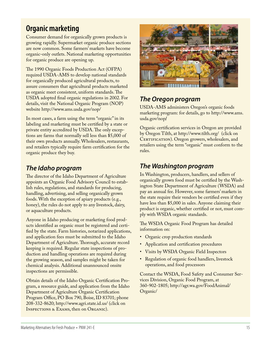# **Organic marketing**

Consumer demand for organically grown products is growing rapidly. Supermarket organic produce sections are now common. Some farmers' markets have become organic-only outlets. National marketing opportunities for organic produce are opening up.

The 1990 Organic Foods Production Act (OFPA) required USDA-AMS to develop national standards for organically produced agricultural products, to assure consumers that agricultural products marketed as organic meet consistent, uniform standards. The USDA adopted final organic regulations in 2002. For details, visit the National Organic Program (NOP) website http://www.ams.usda.gov/nop/

In most cases, a farm using the term "organic" in its labeling and marketing must be certified by a state or private entity accredited by USDA. The only exceptions are farms that normally sell less than \$5,000 of their own products annually. Wholesalers, restaurants, and retailers typically require farm certification for the organic produce they buy.

## *The Idaho program*

The director of the Idaho Department of Agriculture appoints an Organic Food Advisory Council to establish rules, regulations, and standards for producing, handling, advertising, and selling organically grown foods. With the exception of apiary products (e.g., honey), the rules do not apply to any livestock, dairy, or aquaculture products.

Anyone in Idaho producing or marketing food products identified as organic must be registered and certified by the state. Farm histories, notarized applications, and application fees must be submitted to the Idaho Department of Agriculture. Thorough, accurate record keeping is required. Regular state inspections of production and handling operations are required during the growing season, and samples might be taken for chemical analysis. Additional unannounced onsite inspections are permissible.

Obtain details of the Idaho Organic Certification Program, a resource guide, and application from the Idaho Department of Agriculture Organic Certification Program Office, PO Box 790, Boise, ID 83701; phone 208-332-8620; http://www.agri.state.id.us/ (click on Inspections & Exams, then on Organic).



# *The Oregon program*

USDA-AMS administers Oregon's organic foods marketing program: for details, go to http://www.ams. usda.gov/nop/

Organic certification services in Oregon are provided by Oregon Tilth, at http://www.tilth.org/ (click on CERTIFICATION). Oregon growers, wholesalers, and retailers using the term "organic" must conform to the rules.

# *The Washington program*

In Washington, producers, handlers, and sellers of organically grown food must be certified by the Washington State Department of Agriculture (WSDA) and pay an annual fee. However, some farmers' markets in the state require their vendors be certified even if they have less than \$5,000 in sales. Anyone claiming their product is organic, whether certified or not, must comply with WSDA organic standards.

The WSDA Organic Food Program has detailed information on:

- Organic crop production standards
- Application and certification procedures
- • Visits by WSDA Organic Field Inspectors
- Regulation of organic food handlers, livestock operations, and food processors

Contact the WSDA, Food Safety and Consumer Services Division, Organic Food Program, at 360-902-1805; http://agr.wa.gov/FoodAnimal/ Organic/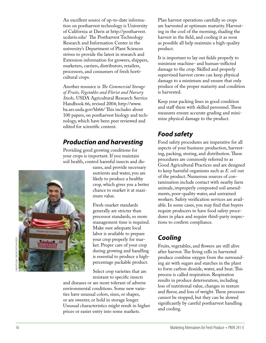An excellent source of up-to-date informa tion on postharvest technology is University of California at Davis at [http://postharvest.](http://postharvest.ucdavis.edu/) ucdavis.edu / The Postharvest Technology Research and Information Center in the university's Department of Plant Sciences strives to provide the latest in research and Extension information for growers, shippers, marketers, carriers, distributors, retailers, processors, and consumers of fresh horticultural crops.

Another resource is *The Commercial Storage of Fruits, Vegetables and Florist and Nursery Stocks,* USDA Agricultural Research Service Handbook 66, revised 2004; http://www. [ba.ars.usda.gov/hb66](http://www.ba.ars.usda.gov/hb66/) / This includes about 100 papers, on postharvest biology and tech nology, which have been peer reviewed and edited for scientific content.

### *Production and harvesting*

Providing good growing conditions for your crops is important. If you maintain soil health, control harmful insects and dis -



eases, and provide necessary nutrients and water, you are likely to produce a healthy crop, which gives you a better chance to market it at maxi mum value.

Fresh-market standards generally are stricter than processor standards, so more management time is required. Make sure adequate local labor is available to prepare your crop properly for mar ket. Proper care of your crop during growing and handling is essential to produce a highpercentage packable product.

Select crop varieties that are resistant to specific insects

and diseases or are more tolerant of adverse environmental conditions. Some new varieties have unusual colors, sizes, or shapes, or are sweeter, or hold in storage longer. Unusual characteristics might result in higher prices or easier entry into some markets.

Plan harvest operations carefully so crops are harvested at optimum maturity. Harvest ing in the cool of the morning, shading the harvest in the field, and cooling it as soon as possible all help maintain a high-quality product.

It is important to lay out fields properly to minimize machine- and human-inflicted damage to the crop. Skilled and properly supervised harvest crews can keep physical damage to a minimum and ensure that only produce of the proper maturity and condition is harvested.

Keep your packing lines in good condition and staff them with skilled personnel. These measures ensure accurate grading and mini mize physical damage to the product.

# *Food safety*

Food safety procedures are imperative for all aspects of your business: production, harvest ing, packing, storing, and distribution. These procedures are commonly referred to as Good Agricultural Practices and are designed to keep harmful organisms such as *E. coli* out of the product. Numerous sources of con tamination include contact with nearby farm animals, improperly composted soil amend ments, poor-quality water, and untrained workers. Safety verification services are avail able. In some cases, you may find that buyers require producers to have food safety proce dures in place and require third-party inspec tions to confirm compliance.

# *Cooling*

Fruits, vegetables, and flowers are still alive after harvest. The living cells in harvested produce combine oxygen from the surround ing air with sugars and starches in the plant to form carbon dioxide, water, and heat. This process is called respiration. Respiration results in produce deterioration, including loss of nutritional value, changes in texture and flavor, and loss of weight. These processes cannot be stopped, but they can be slowed significantly by careful postharvest handling and cooling.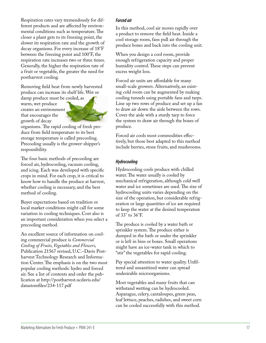Respiration rates vary tremendously for different products and are affected by environmental conditions such as temperature. The closer a plant gets to its freezing point, the slower its respiration rate and the growth of decay organisms. For every increase of 18°F between the freezing point and 100°F, the respiration rate increases two or three times. Generally, the higher the respiration rate of a fruit or vegetable, the greater the need for postharvest cooling.

Removing field heat from newly harvested produce can increase its shelf life. Wet or

damp produce must be cooled, as warm, wet produce creates an environment that encourages the growth of decay



organisms. The rapid cooling of fresh pro duce from field temperature to its best storage temperature is called precooling. Precooling usually is the grower-shipper's responsibility.

The four basic methods of precooling are forced air, hydrocooling, vacuum cooling, and icing. Each was developed with specific crops in mind. For each crop, it is critical to know how to handle the produce at harvest, whether cooling is necessary, and the best method of cooling.

Buyer expectations based on tradition or local market conditions might call for some variation in cooling techniques. Cost also is an important consideration when you select a precooling method.

An excellent source of information on cool ing commercial produce is *Commercial Cooling of Fruits, Vegetables and Flowers,* Publication 21567 revised, U.C.–Davis Post harvest Technology Research and Informa tion Center. The emphasis is on the two most popular cooling methods: hydro and forced air. See a list of contents and order the pub lication at [http://postharvest.ucdavis.edu/](http://postharvest.ucdavis.edu/datastorefiles/234-117.pdf) datastorefiles/234-117.pdf

#### *Forced air*

In this method, cool air moves rapidly over a product to remove the field heat. Inside a cool storage room, fans pull air through the produce boxes and back into the cooling unit.

When you design a cool room, provide enough refrigeration capacity and proper humidity control. These steps can prevent excess weight loss.

Forced air units are affordable for many small-scale growers. Alternatively, an exist ing cold room can be augmented by making cooling tunnels using portable fans and tarps. Line up two rows of produce and set up a fan to draw air down the aisle between the rows. Cover the aisle with a sturdy tarp to force the system to draw air through the boxes of produce.

Forced air cools most commodities effec tively, but those best adapted to this method include berries, stone fruits, and mushrooms.

#### *Hydrocooling*

Hydrocooling cools produce with chilled water. The water usually is cooled by mechanical refrigeration, although cold well water and ice sometimes are used. The size of hydrocooling units varies depending on the size of the operation, but considerable refrig eration or large quantities of ice are required to keep the water at the desired temperature of 33° to 36°F.

The produce is cooled by a water bath or sprinkler system. The produce either is dumped in the bath or under the sprinkler or is left in bins or boxes. Small operations might have an ice-water tank in which to "stir" the vegetables for rapid cooling.

Pay special attention to water quality. Unfil tered and unsanitized water can spread undesirable microorganisms.

Most vegetables and many fruits that can withstand wetting can be hydrocooled. Asparagus, celery, cantaloupes, green peas, leaf lettuce, peaches, radishes, and sweet corn can be cooled successfully with this method.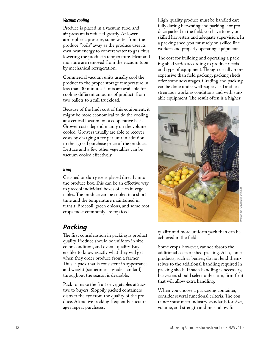#### *Vacuum cooling*

Produce is placed in a vacuum tube, and air pressure is reduced greatly. At lower atmospheric pressure, some water from the produce "boils" away as the produce uses its own heat energy to convert water to gas, thus lowering the product's temperature. Heat and moisture are removed from the vacuum tube by mechanical refrigeration.

Commercial vacuum units usually cool the product to the proper storage temperature in less than 30 minutes. Units are available for cooling different amounts of product, from two pallets to a full truckload.

Because of the high cost of this equipment, it might be more economical to do the cooling at a central location on a cooperative basis. Grower costs depend mainly on the volume cooled. Growers usually are able to recover costs by charging a fee per unit in addition to the agreed purchase price of the produce. Lettuce and a few other vegetables can be vacuum cooled effectively.

#### *Icing*

Crushed or slurry ice is placed directly into the produce box. This can be an effective way to precool individual boxes of certain vegetables. The produce can be cooled in a short time and the temperature maintained in transit. Broccoli, green onions, and some root crops most commonly are top iced.

#### *Packing*

The first consideration in packing is product quality. Produce should be uniform in size, color, condition, and overall quality. Buy ers like to know exactly what they will get when they order produce from a farmer. Thus, a pack that is consistent in appearance and weight (sometimes a grade standard) throughout the season is desirable.

Pack to make the fruit or vegetables attrac tive to buyers. Sloppily packed containers distract the eye from the quality of the pro duce. Attractive packing frequently encour ages repeat purchases.

High-quality produce must be handled care fully during harvesting and packing. For pro duce packed in the field, you have to rely on skilled harvesters and adequate supervision. In a packing shed, you must rely on skilled line workers and properly operating equipment.

The cost for building and operating a packing shed varies according to product needs and type of equipment. Though usually more expensive than field packing, packing sheds offer some advantages. Grading and packing can be done under well-supervised and less strenuous working conditions and with suit able equipment. The result often is a higher



quality and more uniform pack than can be achieved in the field.

Some crops, however, cannot absorb the additional costs of shed packing. Also, some products, such as berries, do not lend them selves to the additional handling required in packing sheds. If such handling is necessary, harvesters should select only clean, firm fruit that will allow extra handling.

When you choose a packaging container, consider several functional criteria. The con tainer must meet industry standards for size, volume, and strength and must allow for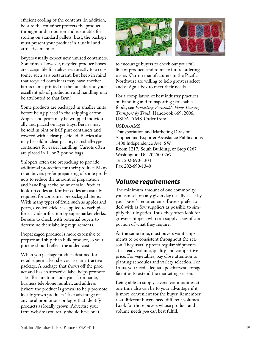efficient cooling of the contents. In addition, be sure the container protects the product throughout distribution and is suitable for storing on standard pallets. Last, the package must present your product in a useful and attractive manner.

Buyers usually expect new, unused containers. Sometimes, however, recycled produce boxes are acceptable for deliveries directly to a cus tomer such as a restaurant. But keep in mind that recycled containers may have another farm's name printed on the outside, and your excellent job of production and handling may be attributed to that farm!

Some products are packaged in smaller units before being placed in the shipping carton. Apples and pears may be wrapped individu ally and placed on layer trays. Berries may be sold in pint or half-pint containers and covered with a clear plastic lid. Berries also may be sold in clear plastic, clamshell-type containers for easier handling. Carrots often are placed in 1- or 2-pound bags.

Shippers often use prepacking to provide additional protection for their product. Many retail buyers prefer prepacking of some prod ucts to reduce the amount of preparation and handling at the point of sale. Product look-up codes and/or bar codes are usually required for consumer prepackaged items. With many types of fruit, such as apples and pears, a coded sticker is applied to each piece for easy identification by supermarket clerks. Be sure to check with potential buyers to determine their labeling requirements.

Prepackaged produce is more expensive to prepare and ship than bulk produce, so your pricing should reflect the added cost.

When you package produce destined for retail supermarket shelves, use an attractive package. A package that shows off the prod uct and has an attractive label helps promote sales. Be sure to include your farm name, business telephone number, and address (where the product is grown) to help promote locally grown products. Take advantage of any local promotions or logos that identify products as locally grown. Advertise your farm website (you really should have one)



to encourage buyers to check out your full line of products and to make future ordering easier. Carton manufacturers in the Pacific Northwest are willing to help growers select and design a box to meet their needs.

For a compilation of best industry practices on handling and transporting perishable foods, see *Protecting Perishable Foods During Transport by Truck*, Handbook 669, 2006, USDA-AMS. Order from:

USDA-AMS

Transportation and Marketing Division Shipper and Exporter Assistance Publications 1400 Independence Ave. SW Room 1217, South Building, or Stop 0267 Washington, DC 20250-0267 Tel. 202-690-1304 Fax 202-690-1340

### *Volume requirements*

The minimum amount of one commodity you can sell on any given day usually is set by your buyer's requirements. Buyers prefer to deal with as few suppliers as possible to sim plify their logistics. Thus, they often look for grower-shippers who can supply a significant portion of what they require.

At the same time, most buyers want ship ments to be consistent throughout the sea son. They usually prefer regular shipments at a steady volume, quality, and competitive price. For vegetables, pay close attention to planting schedules and variety selection. For fruits, you need adequate postharvest storage facilities to extend the marketing season.

Being able to supply several commodities at one time also can be to your advantage if it is more convenient for the buyer. Remember that different buyers need different volumes. Look for those buyers whose product and volume needs *you* can best fulfill.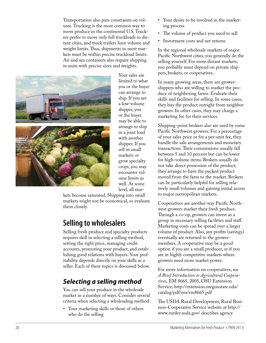Transportation also puts constraints on vol ume. Trucking is the most common way to move produce in the continental U.S. Truck ers prefer to move only full truckloads to dis tant cities, and truck trailers have volume and weight limits. Thus, shipments to most mar kets must be within precise truckload limits. Air and sea containers also require shipping in units with precise sizes and weights.



Your sales are limited to what you or the buyer can arrange to ship. If you are a low-volume shipper, you or the buyer may be able to arrange to ship in a joint load with another shipper. If you sell in small markets or grow specialty crops, you may encounter vol ume limits as well. At some level, all mar -

kets become saturated. Shipping into small markets might not be economical, so evaluate them closely.

# **Selling to wholesalers**

Selling fresh produce and specialty products requires skill in selecting a selling method, setting the right price, managing credit accounts, promoting your product, and estab lishing good relations with buyers. Your profitability depends directly on your skills as a seller. Each of these topics is discussed below.

# *Selecting a selling method*

You can sell your produce in the wholesale market in a number of ways. Consider several criteria when selecting a wholesaling method:

• Your marketing skills or those of others who do the selling

- Your desire to be involved in the marketing process
- • The volume of product you need to sell
- • Investment costs and net returns

In the regional wholesale markets of major Pacific Northwest cities, you generally do the selling yourself. For more distant markets, you probably must depend on private ship pers, brokers, or cooperatives.

In many growing areas, there are growershippers who are willing to market the pro duce of neighboring farms. Evaluate their skills and facilities for selling. In some cases, they buy the product outright from neighbor growers. In other cases, they may charge a marketing fee for their services.

Shipping-point brokers also are used by some Pacific Northwest growers. For a percentage of your sales price or for a per-unit fee, they handle the sale arrangements and monetary transactions. Their commissions usually fall between 5 and 10 percent but can be lower for high-volume items. Brokers usually do not take direct possession of the product; they arrange to have the packed product moved from the farm to the market. Brokers can be particularly helpful for selling rela tively small volumes and gaining initial access to major metropolitan markets.

Cooperatives are another way Pacific North west growers market their fresh produce. Through a co-op, growers can invest as a group in necessary selling facilities and staff. Marketing costs can be spread over a larger volume of product. Also, any profits (savings) eventually are returned to the growermembers. A cooperative may be a good option if you are a small producer, or if you are in highly competitive markets where growers need more market power.

For more information on cooperatives, see *A Brief Introduction to Agricultural Cooperatives,* EM 8665, 2005, OSU Extension Service; [http://extension.oregonstate.edu/](http://extension.oregonstate.edu/catalog/pdf/em/em8665.pdf) catalog/pdf/em/em8665.pdf

The USDA Rural Development, Rural Business-Cooperative Service website at http:// www.rurdev.usda.gov/ describes agency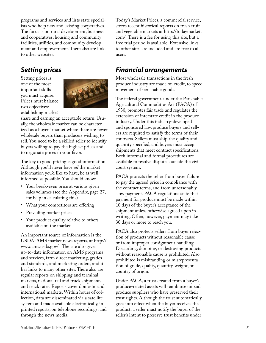programs and services and lists state special ists who help new and existing cooperatives. The focus is on rural development, business and cooperatives, housing and community facilities, utilities, and community develop ment and empowerment. There also are links to other websites.

# *Setting prices*

Setting prices is one of the most important skills you must acquire. Prices must balance two objectives: establishing market



share and earning an acceptable return. Usu ally, the wholesale market can be character ized as a buyers' market where there are fewer wholesale buyers than producers wishing to sell. You need to be a skilled seller to identify buyers willing to pay the highest prices and to negotiate prices in your favor.

The key to good pricing is good information. Although you'll never have *all* the market information you'd like to have, be as well informed as possible. You should know:

- Your break-even price at various given sales volumes (see the Appendix, page 27, for help in calculating this)
- What your competitors are offering
- Prevailing market prices
- Your product quality relative to others available on the market

An important source of information is the USDA-AMS market news reports, at http:// www.ams.usda.gov/ The site also gives up-to-date information on AMS programs and services, farm direct marketing, grades and standards, and marketing orders, and it has links to many other sites. There also are regular reports on shipping and terminal markets, national rail and truck shipments, and truck rates. Reports cover domestic and international markets. Within hours of col lection, data are disseminated via a satellite system and made available electronically, in printed reports, on telephone recordings, and through the news media.

Today's Market Prices, a commercial service, stores recent historical reports on fresh fruit and vegetable markets at http://todaymarket. com/ There is a fee for using this site, but a free trial period is available . Extensive links to other sites are included and are free to all users.

### *Financial arrangements*

Most wholesale transactions in the fresh produce industry are made on credit, to speed movement of perishable goods.

The federal government, under the Perishable Agricultural Commodities Act (PACA) of 1930, promotes fair trade and regulates the extension of interstate credit in the produce industry. Under this industry-developed and sponsored law, produce buyers and sell ers are required to satisfy the terms of their contracts. Sellers must ship the quality and quantity specified, and buyers must accept shipments that meet contract specifications. Both informal and formal procedures are available to resolve disputes outside the civil court system.

PACA protects the seller from buyer failure to pay the agreed price in compliance with the contract terms, and from unreasonably slow payment. PACA regulations state that payment for produce must be made within 10 days of the buyer's acceptance of the shipment unless otherwise agreed upon in writing. Often, however, payment may take 30 days or more to reach you.

PACA also protects sellers from buyer rejec tion of products without reasonable cause or from improper consignment handling. Discarding, dumping, or destroying products without reasonable cause is prohibited. Also prohibited is misbranding or misrepresenta tion of grade, quality, quantity, weight, or country of origin.

Under PACA, a trust created from a buyer's produce-related assets will reimburse unpaid produce suppliers who have preserved their trust rights. Although the trust automatically goes into effect when the buyer receives the product, a seller must notify the buyer of the seller's intent to preserve trust benefits under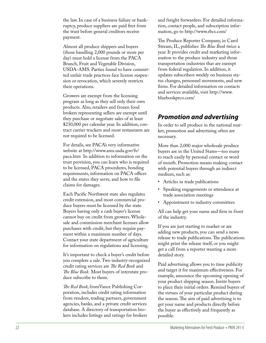the law. In case of a business failure or bank ruptcy, produce suppliers are paid first from the trust before general creditors receive payment.

Almost all produce shippers and buyers (those handling 2,000 pounds or more per day) must hold a license from the PACA Branch, Fruit and Vegetable Division, USDA-AMS. Parties found to have commit ted unfair trade practices face license suspen sion or revocation, which severely restricts their operations.

Growers are exempt from the licensing program as long as they sell only their own products. Also, retailers and frozen food brokers representing sellers are exempt until they purchase or negotiate sales of at least \$230,000 per calendar year. In addition, con tract carrier truckers and most restaurants are not required to be licensed.

For details, see PACA's very informative website at http://www.ams.usda.gov/fv/ paca.ht m In addition to information on the trust provision, you can learn who is required to be licensed, PACA procedures, bonding requirements, information on PACA offices and the states they serve, and how to file claims for damages.

Each Pacific Northwest state also regulates credit extension, and most commercial pro duce buyers must be licensed by the state. Buyers having only a cash buyer's license cannot buy on credit from growers. Whole sale and commission merchant licenses allow purchases with credit, but they require pay ment within a maximum number of days. Contact your state department of agriculture for information on regulations and licensing.

It's important to check a buyer's credit before you complete a sale. Two industry-recognized credit rating services are *The Red Book* and *The Blue Book.* Most buyers of interstate pro duce subscribe to them.

*The Red Book*, fromVance Publishing Cor poration, includes credit rating information from vendors, trading partners, government agencies, banks, and a private credit services database. A directory of transportation bro kers includes listings and ratings for brokers and freight forwarders. For detailed informa tion, contact people, and subscription infor mation, go to http://www.rbcs.com /

The Produce Reporter Company, in Carol Stream, IL, publishes *The Blue Book* twice a year. It provides credit and marketing infor mation to the produce industry and those transportation industries that are exempt from federal regulation. In addition, it updates subscribers weekly on business sta tus changes, personnel movements, and new firms. For detailed information on contacts and services available, visit http://www. [bluebookprco.com](http://www.bluebookprco.com/) /

### *Promotion and advertising*

In order to sell produce in the national mar ket, promotion and advertising often are necessary.

More than 2,000 major wholesale produce buyers are in the United States—too many to reach easily by personal contact or word of mouth. Promotion means making contact with potential buyers through an indirect medium, such as:

- Articles in trade publications
- Speaking engagements or attendance at trade association meetings
- Appointment to industry committees

All can help get your name and firm in front of the industry.

If you are just starting to market or are adding new products, you can send a news release to trade publications. The publications might print the release itself, or you might get a call from a reporter wanting a more detailed story.

Paid advertising allows you to time publicity and target it for maximum effectiveness. For example, announce the upcoming opening of your product shipping season. Invite buyers to place their initial orders. Remind buyers of the virtues of your particular product during the season. The aim of paid advertising is to get your name and products directly before the buyer as effectively and frequently as possible.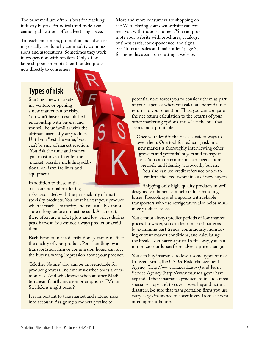The print medium often is best for reaching industry buyers. Periodicals and trade association publications offer advertising space.

To reach consumers, promotion and advertising usually are done by commodity commissions and associations. Sometimes they work in cooperation with retailers. Only a few large shippers promote their branded products directly to consumers.

# **Types of risk**

Starting a new marketing venture or opening a new market can be risky. You won't have an established relationship with buyers, and you will be unfamiliar with the ultimate users of your product. Until you "test the water," you can't be sure of market reaction. You risk the time and money you must invest to enter the market, possibly including additional on-farm facilities and equipment.

In addition to these initial risks are normal marketing

risks associated with the perishability of most specialty products. You must harvest your produce when it reaches maturity, and you usually cannot store it long before it must be sold. As a result, there often are market gluts and low prices during peak harvest. You cannot always predict or avoid them.

Each handler in the distribution system can affect the quality of your product. Poor handling by a transportation firm or commission house can give the buyer a wrong impression about your product.

"Mother Nature" also can be unpredictable for produce growers. Inclement weather poses a common risk. And who knows when another Mediterranean fruitfly invasion or eruption of Mount St. Helens might occur?

It is important to take market and natural risks into account. Assigning a monetary value to

More and more consumers are shopping on the Web. Having your own website can connect you with those customers. You can promote your website with brochures, catalogs, business cards, correspondence, and signs. See "Internet sales and mail-order," page 7, for more discussion on creating a website.

> potential risks forces you to consider them as part of your expenses when you calculate potential net returns to your operation. Thus, you can compare the net return calculation to the returns of your other marketing options and select the one that seems most profitable.

 Once you identify the risks, consider ways to lower them. One tool for reducing risk in a new market is thoroughly interviewing other growers and potential buyers and transport ers. You can determine market needs more precisely and identify trustworthy buyers. You also can use credit reference books to confirm the creditworthiness of new buyers.

 Shipping only high-quality products in welldesigned containers can help reduce handling losses. Precooling and shipping with reliable transporters who use refrigeration also helps minimize product losses.

You cannot always predict periods of low market prices. However, you can learn market patterns by examining past trends, continuously monitoring current market conditions, and calculating the break-even harvest price. In this way, you can minimize your losses from adverse price changes.

You can buy insurance to lower some types of risk. In recent years, the USDA Risk Management Agency (http://www.rma.usda.gov/) and Farm Service Agency (http://www.fsa.usda.gov/) have expanded their insurance products to include most specialty crops and to cover losses beyond natural disasters. Be sure that transportation firms you use carry cargo insurance to cover losses from accident or equipment failure.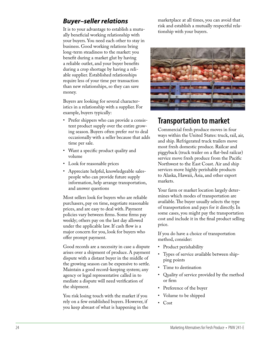### *Buyer–seller relations*

It is to your advantage to establish a mutu ally beneficial working relationship with your buyers. You need each other to stay in business. Good working relations bring long-term steadiness to the market: you benefit during a market glut by having a reliable outlet, and your buyer benefits during a crop shortage by having a reli able supplier. Established relationships require less of your time per transaction than new relationships, so they can save money.

Buyers are looking for several character istics in a relationship with a supplier. For example, buyers typically:

- Prefer shippers who can provide a consistent product supply over the entire grow ing season. Buyers often prefer *not* to deal occasionally with a seller because that adds time per sale.
- • Want a specific product quality and volume
- • Look for reasonable prices
- • Appreciate helpful, knowledgeable sales people who can provide future supply information, help arrange transportation, and answer questions

Most sellers look for buyers who are reliable purchasers, pay on time, negotiate reasonable prices, and are easy to deal with. Payment policies vary between firms. Some firms pay weekly; others pay on the last day allowed under the applicable law. If cash flow is a major concern for you, look for buyers who offer prompt payment.

Good records are a necessity in case a dispute arises over a shipment of produce. A payment dispute with a distant buyer in the middle of the growing season can be expensive to settle. Maintain a good record-keeping system; any agency or legal representative called in to mediate a dispute will need verification of the shipment.

You risk losing touch with the market if you rely on a few established buyers. However, if you keep abreast of what is happening in the marketplace at all times, you can avoid that risk and establish a mutually respectful rela tionship with your buyers.



# **Transportation to market**

Commercial fresh produce moves in four ways within the United States: truck, rail, air, and ship. Refrigerated truck trailers move most fresh domestic produce. Railcar and piggyback (truck trailer on a flat-bed railcar) service move fresh produce from the Pacific Northwest to the East Coast. Air and ship services move highly perishable products to Alaska, Hawaii, Asia, and other export markets.

Your farm or market location largely deter mines which modes of transportation are available. The buyer usually selects the type of transportation and pays for it directly. In some cases, you might pay the transportation cost and include it in the final product selling price.

If you do have a choice of transportation method, consider:

- Product perishability
- Types of service available between shipping points
- Time to destination
- • Quality of service provided by the method or firm
- Preference of the buyer
- Volume to be shipped
- • Cost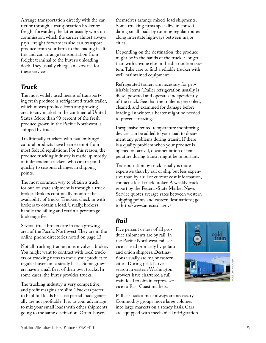Arrange transportation directly with the car rier or through a transportation broker or freight forwarder; the latter usually work on commission, which the carrier almost always pays. Freight forwarders also can transport produce from your farm to the loading facili ties and can arrange transportation from freight terminal to the buyer's unloading dock. They usually charge an extra fee for these services.

## *Truck*

The most widely used means of transporting fresh produce is refrigerated truck trailer, which moves produce from any growing area to any market in the continental United States. More than 90 percent of the fresh produce grown in the Pacific Northwest is shipped by truck.

Traditionally, truckers who haul only agri cultural products have been exempt from most federal regulations. For this reason, the produce trucking industry is made up mostly of independent truckers who can respond quickly to seasonal changes in shipping points.

The most common way to obtain a truck for out-of-state shipment is through a truck broker. Brokers continually monitor the availability of trucks. Truckers check in with brokers to obtain a load. Usually, brokers handle the billing and retain a percentage brokerage fee.

Several truck brokers are in each growing area of the Pacific Northwest. They are in the online phone directories noted on page 13.

Not all trucking transactions involve a broker. You might want to contract with local truck ers or trucking firms to move your product to regular buyers on a steady basis. Some grow ers have a small fleet of their own trucks. In some cases, the buyer provides trucks.

The trucking industry is very competitive, and profit margins are slim. Truckers prefer to haul full loads because partial loads gener ally are not profitable. It is to your advantage to mix your small loads with other shipments going to the same destination. Often, buyers

themselves arrange mixed-load shipments. Some trucking firms specialize in consoli dating small loads by running regular routes along interstate highways between major cities.

Depending on the destination, the produce might be in the hands of the trucker longer than with anyone else in the distribution sys tem. Take care to find a reliable trucker with well-maintained equipment.

Refrigerated trailers are necessary for per ishable items. Trailer refrigeration usually is diesel powered and operates independently of the truck. See that the trailer is precooled, cleaned, and examined for damage before loading. In winter, a heater might be needed to prevent freezing.

Inexpensive rented temperature monitoring devices can be added to your load to docu ment any problems during transit. If there is a quality problem when your product is opened on arrival, documentation of tem perature during transit might be important.

Transportation by truck usually is more expensive than by rail or ship but less expen sive than by air. For current cost information, contact a local truck broker. A weekly truck report by the Federal-State Market News Service quotes average rates between western shipping points and eastern destinations; go to http://www.ams.usda.gov/

## *Rail*

Five percent or less of all pro duce shipments are by rail. In the Pacific Northwest, rail ser vice is used primarily by potato and onion shippers. Destina tions usually are major eastern cities. During peak harvest season in eastern Washington, growers have chartered a full train load to obtain express ser vice to East Coast markets.

Full carloads almost always are necessary. Commodity groups move large volumes into large markets on a steady basis. Cars are equipped with mechanical refrigeration

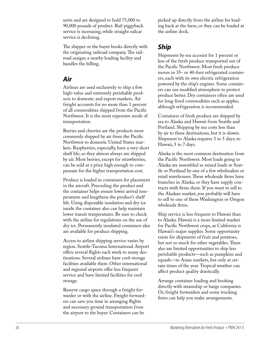units and are designed to hold 75,000 to 90,000 pounds of product. Rail piggyback service is increasing, while straight railcar service is declining.

The shipper or the buyer books directly with the originating railroad company. The railroad assigns a nearby loading facility and handles the billing.

### *Air*

Airlines are used exclusively to ship a few high-value and extremely perishable prod ucts to domestic and export markets. Air freight accounts for no more than 1 percent of all commodities shipped from the Pacific Northwest. It is the most expensive mode of transportation.

Berries and cherries are the products most commonly shipped by air from the Pacific Northwest to domestic United States mar kets. Raspberries, especially, have a very short shelf life, so they almost always are shipped by air. Most berries, except for strawberries, can be sold at a price high enough to com pensate for the higher transportation cost.

Produce is loaded in containers for placement in the aircraft. Precooling the product and the container helps ensure lower arrival tem peratures and lengthens the product's shelf life. Using disposable insulation and dry ice inside the container also can help maintain lower transit temperatures. Be sure to check with the airline for regulations on the use of dry ice. Permanently insulated containers also are available for produce shipping.

Access to airline shipping service varies by region. Seattle-Tacoma International Airport offers several flights each week to many des tinations. Several airlines have cool-storage facilities available there. Other international and regional airports offer less frequent service and have limited facilities for cool storage.

Reserve cargo space through a freight for warder or with the airline. Freight forward ers can save you time in arranging flights and necessary ground transportation from the airport to the buyer. Containers can be

picked up directly from the airline for load ing back at the farm, or they can be loaded at the airline dock.

## *Ship*

Shipments by sea account for 1 percent or less of the fresh produce transported out of the Pacific Northwest. Most fresh produce moves in 35- or 40-foot refrigerated contain ers, each with its own electric refrigeration powered by the ship's engines. Some contain ers can use modified atmosphere to protect produce better. Dry containers often are used for long-lived commodities such as apples, although refrigeration is recommended.

Containers of fresh produce are shipped by sea to Alaska and Hawaii from Seattle and Portland. Shipping by sea costs less than by air to these destinations, but it is slower. Shipment to Alaska requires 3 to 5 days; to Hawaii, 5 to 7 days.

Alaska is the most common destination from the Pacific Northwest. Most loads going to Alaska are assembled as mixed loads in Seat tle or Portland by one of a few wholesalers or retail warehouses. These wholesale firms have branches in Alaska, or they have supply con tracts with firms there. If you want to sell to the Alaskan market, you probably will have to sell to one of these Washington or Oregon wholesale firms.

Ship service is less frequent to Hawaii than to Alaska. Hawaii is a more limited market for Pacific Northwest crops, as California is Hawaii's major supplier. Some opportunity exists for shipments of fruit and potatoes, but not so much for other vegetables. There also are limited opportunities to ship less perishable products—such as pumpkins and squash—to Asian markets, but only at cer tain times of the year. Tropical weather can affect product quality drastically.

Arrange container loading and booking directly with steamship or barge companies. Or, freight forwarders and some trucking firms can help you make arrangements.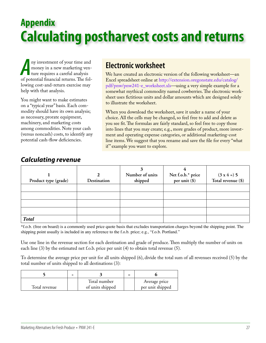# **Appendix Calculating postharvest costs and returns**

a positive structure and money in a new marketing venture requires a careful analysis of potential financial returns. The folny investment of your time and money in a new marketing venture requires a careful analysis lowing cost-and-return exercise may help with that analysis.

You might want to make estimates on a "typical year" basis. Each commodity should have its own analysis; as necessary, prorate equipment, machinery, and marketing costs among commodities. Note your cash (versus noncash) costs, to identify any potential cash-flow deficiencies.

# **Electronic worksheet**

We have created an electronic version of the following worksheet—an Excel spreadsheet online at [http://extension.oregonstate.edu/catalog/](http://extension.oregonstate.edu/catalog/pdf/pnw/pnw241-e_worksheet.xls) pdf/pnw/pnw241-e\_worksheet.xls—using a very simple example for a somewhat mythical commodity named cowberries. The electronic worksheet uses fictitious units and dollar amounts which are designed solely to illustrate the worksheet.

When you download the worksheet, save it under a name of your choice. All the cells may be changed, so feel free to add and delete as you see fit. The formulas are fairly standard, so feel free to copy those into lines that you may create; e.g., more grades of product, more investment and operating expense categories, or additional marketing-cost line items. We suggest that you rename and save the file for every "what if" example you want to explore.

| Product type (grade) | Destination | Number of units<br>shipped | Net f.o.b.* price<br>per unit (\$) | $(3 \times 4 = 5)$<br>Total revenue (\$) |
|----------------------|-------------|----------------------------|------------------------------------|------------------------------------------|
|                      |             |                            |                                    |                                          |
|                      |             |                            |                                    |                                          |
|                      |             |                            |                                    |                                          |
|                      |             |                            |                                    |                                          |
| <b>Total</b>         |             |                            |                                    |                                          |

## *Calculating revenue*

\*f.o.b. (free on board) is a commonly used price quote basis that excludes transportation charges beyond the shipping point. The shipping point usually is included in any reference to the f.o.b. price; e.g., "f.o.b. Portland."

Use one line in the revenue section for each destination and grade of produce. Then multiply the number of units on each line (3) by the estimated net f.o.b. price per unit (4) to obtain total revenue (5).

To determine the average price per unit for all units shipped (6), divide the total sum of all revenues received (5) by the total number of units shipped to all destinations (3):

|               | Total number     | Average price    |
|---------------|------------------|------------------|
| Total revenue | of units shipped | per unit shipped |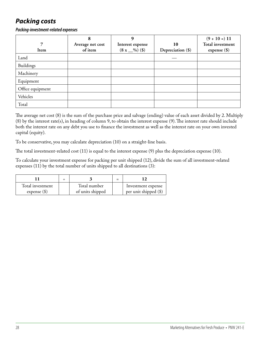# *Packing costs*

*Packing-investment-related expenses*

|                  | 8                | 9                |                   | $(9 + 10 = 11)$  |
|------------------|------------------|------------------|-------------------|------------------|
| $\overline{7}$   | Average net cost | Interest expense | 10                | Total investment |
| Item             | of item          | $(8 x \_9)$ (\$) | Depreciation (\$) | expense $(\$)$   |
| Land             |                  |                  |                   |                  |
| Buildings        |                  |                  |                   |                  |
| Machinery        |                  |                  |                   |                  |
| Equipment        |                  |                  |                   |                  |
| Office equipment |                  |                  |                   |                  |
| Vehicles         |                  |                  |                   |                  |
| Total            |                  |                  |                   |                  |

The average net cost (8) is the sum of the purchase price and salvage (ending) value of each asset divided by 2. Multiply (8) by the interest rate(s), in heading of column 9, to obtain the interest expense (9). The interest rate should include both the interest rate on any debt you use to finance the investment as well as the interest rate on your own invested capital (equity).

To be conservative, you may calculate depreciation (10) on a straight-line basis.

The total investment-related cost (11) is equal to the interest expense (9) plus the depreciation expense (10).

To calculate your investment expense for packing per unit shipped (12), divide the sum of all investment-related expenses (11) by the total number of units shipped to all destinations (3):

| Total investment<br>expense $(\$)$ | Total number<br>of units shipped | Investment expense<br>per unit shipped (\$) |
|------------------------------------|----------------------------------|---------------------------------------------|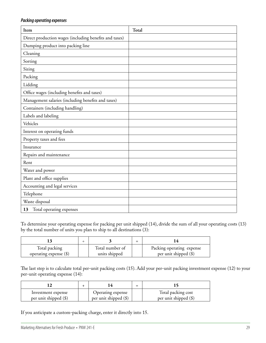#### *Packing operating expenses*

| Item                                                   | Total |
|--------------------------------------------------------|-------|
| Direct production wages (including benefits and taxes) |       |
| Dumping product into packing line                      |       |
| Cleaning                                               |       |
| Sorting                                                |       |
| Sizing                                                 |       |
| Packing                                                |       |
| Lidding                                                |       |
| Office wages (including benefits and taxes)            |       |
| Management salaries (including benefits and taxes)     |       |
| Containers (including handling)                        |       |
| Labels and labeling                                    |       |
| Vehicles                                               |       |
| Interest on operating funds                            |       |
| Property taxes and fees                                |       |
| Insurance                                              |       |
| Repairs and maintenance                                |       |
| Rent                                                   |       |
| Water and power                                        |       |
| Plant and office supplies                              |       |
| Accounting and legal services                          |       |
| Telephone                                              |       |
| Waste disposal                                         |       |
| Total operating expenses<br>13                         |       |

To determine your operating expense for packing per unit shipped (14), divide the sum of all your operating costs (13) by the total number of units you plan to ship to all destinations (3):

| Total packing<br>operating expense (\$) | Total number of<br>units shipped | Packing operating expense<br>per unit shipped $(\$)$ |
|-----------------------------------------|----------------------------------|------------------------------------------------------|

The last step is to calculate total per-unit packing costs (15). Add your per-unit packing investment expense (12) to your per-unit operating expense (14):

|                       |                         | = |                         |
|-----------------------|-------------------------|---|-------------------------|
| Investment expense    | Operating expense       |   | Total packing cost      |
| per unit shipped (\$) | per unit shipped $(\$)$ |   | per unit shipped $(\$)$ |

If you anticipate a custom-packing charge, enter it directly into 15.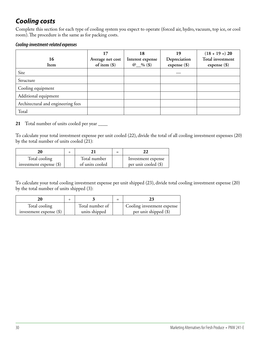# *Cooling costs*

Complete this section for each type of cooling system you expect to operate (forced air, hydro, vacuum, top ice, or cool room). The procedure is the same as for packing costs.

#### *Cooling-investment-related expenses*

| 16<br>Item                         | 17<br>Average net cost<br>of item $(\$)$ | 18<br>Interest expense<br>@ $\&$ (\$) | 19<br>Depreciation<br>expense $(\$)$ | $(18 + 19 = 20)$<br><b>Total investment</b><br>expense $(\$)$ |
|------------------------------------|------------------------------------------|---------------------------------------|--------------------------------------|---------------------------------------------------------------|
| Site                               |                                          |                                       |                                      |                                                               |
| Structure                          |                                          |                                       |                                      |                                                               |
| Cooling equipment                  |                                          |                                       |                                      |                                                               |
| Additional equipment               |                                          |                                       |                                      |                                                               |
| Architectural and engineering fees |                                          |                                       |                                      |                                                               |
| Total                              |                                          |                                       |                                      |                                                               |

#### **21** Total number of units cooled per year \_\_\_\_

To calculate your total investment expense per unit cooled (22), divide the total of all cooling investment expenses (20) by the total number of units cooled (21):

| 20                        |                 |                        |
|---------------------------|-----------------|------------------------|
| Total cooling             | Total number    | Investment expense     |
| investment expense $(\$)$ | of units cooled | per unit cooled $(\$)$ |

To calculate your total cooling investment expense per unit shipped (23), divide total cooling investment expense (20) by the total number of units shipped (3):

|                           |                 | $=$ |                            |
|---------------------------|-----------------|-----|----------------------------|
| Total cooling             | Total number of |     | Cooling investment expense |
| investment expense $(\$)$ | units shipped   |     | per unit shipped (\$)      |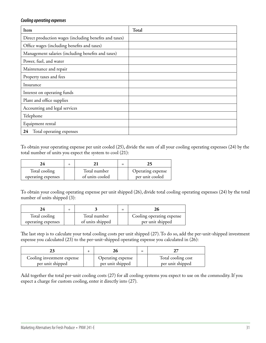#### *Cooling operating expenses*

| Item                                                   | Total |
|--------------------------------------------------------|-------|
| Direct production wages (including benefits and taxes) |       |
| Office wages (including benefits and taxes)            |       |
| Management salaries (including benefits and taxes)     |       |
| Power, fuel, and water                                 |       |
| Maintenance and repair                                 |       |
| Property taxes and fees                                |       |
| Insurance                                              |       |
| Interest on operating funds                            |       |
| Plant and office supplies                              |       |
| Accounting and legal services                          |       |
| Telephone                                              |       |
| Equipment rental                                       |       |
| Total operating expenses<br>24                         |       |

To obtain your operating expense per unit cooled (25), divide the sum of all your cooling operating expenses (24) by the total number of units you expect the system to cool (21):

| Total cooling      | Total number    | Operating expense |
|--------------------|-----------------|-------------------|
| operating expenses | of units cooled | per unit cooled   |

To obtain your cooling operating expense per unit shipped (26), divide total cooling operating expenses (24) by the total number of units shipped (3):

| Total cooling      | Total number     | Cooling operating expense |
|--------------------|------------------|---------------------------|
| operating expenses | of units shipped | per unit shipped          |

The last step is to calculate your total cooling costs per unit shipped (27). To do so, add the per-unit-shipped investment expense you calculated (23) to the per-unit-shipped operating expense you calculated in (26):

|                                                |                                       | = |                                        |
|------------------------------------------------|---------------------------------------|---|----------------------------------------|
| Cooling investment expense<br>per unit shipped | Operating expense<br>per unit shipped |   | Total cooling cost<br>per unit shipped |

Add together the total per-unit cooling costs (27) for all cooling systems you expect to use on the commodity. If you expect a charge for custom cooling, enter it directly into (27).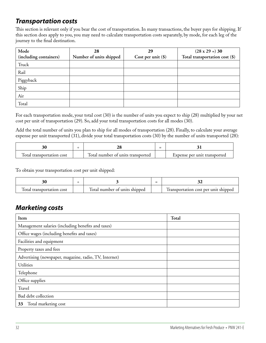# *Transportation costs*

This section is relevant only if you bear the cost of transportation. In many transactions, the buyer pays for shipping. If this section does apply to you, you may need to calculate transportation costs separately, by mode, for each leg of the journey to the final destination.

| Mode                   | 28                      | 29                   | $(28 \times 29 = 30)$          |
|------------------------|-------------------------|----------------------|--------------------------------|
| (including containers) | Number of units shipped | Cost per unit $(\$)$ | Total transportation cost (\$) |
| Truck                  |                         |                      |                                |
| Rail                   |                         |                      |                                |
| Piggyback              |                         |                      |                                |
| Ship                   |                         |                      |                                |
| Air                    |                         |                      |                                |
| Total                  |                         |                      |                                |

For each transportation mode, your total cost (30) is the number of units you expect to ship (28) multiplied by your net cost per unit of transportation (29). So, add your total transportation costs for all modes (30).

Add the total number of units you plan to ship for all modes of transportation (28). Finally, to calculate your average expense per unit transported (31), divide your total transportation costs (30) by the number of units transported (28):

|                                                       |                                                     | -<br>- |                              |
|-------------------------------------------------------|-----------------------------------------------------|--------|------------------------------|
| $\overline{\phantom{0}}$<br>Iotal transportation cost | $\overline{ }$<br>lotal number of units transported |        | Expense per unit transported |

To obtain your transportation cost per unit shipped:

|                                |                               | _ |                                      |
|--------------------------------|-------------------------------|---|--------------------------------------|
| ⊶<br>Total transportation cost | lotal number of units shipped |   | Iransportation cost per unit shipped |

## *Marketing costs*

| Item                                                   | Total |
|--------------------------------------------------------|-------|
| Management salaries (including benefits and taxes)     |       |
| Office wages (including benefits and taxes)            |       |
| Facilities and equipment                               |       |
| Property taxes and fees                                |       |
| Advertising (newspaper, magazine, radio, TV, Internet) |       |
| <b>Utilities</b>                                       |       |
| Telephone                                              |       |
| Office supplies                                        |       |
| Travel                                                 |       |
| Bad debt collection                                    |       |
| Total marketing cost<br>33                             |       |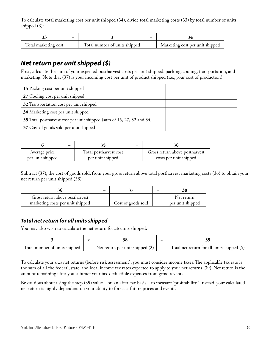To calculate total marketing cost per unit shipped (34), divide total marketing costs (33) by total number of units shipped (3):

| Total marketing cost | Total number of units shipped | Marketing cost per unit shipped |
|----------------------|-------------------------------|---------------------------------|

## *Net return per unit shipped (\$)*

First, calculate the sum of your expected postharvest costs per unit shipped: packing, cooling, transportation, and marketing. Note that (37) is your incoming cost per unit of product shipped (i.e., your cost of production).

| 15 Packing cost per unit shipped                                      |  |
|-----------------------------------------------------------------------|--|
| 27 Cooling cost per unit shipped                                      |  |
| 32 Transportation cost per unit shipped                               |  |
| 34 Marketing cost per unit shipped                                    |  |
| 35 Total postharvest cost per unit shipped (sum of 15, 27, 32 and 34) |  |
| 37 Cost of goods sold per unit shipped                                |  |

|                                   | _ |                                            | 36                                                       |
|-----------------------------------|---|--------------------------------------------|----------------------------------------------------------|
| Average price<br>per unit shipped |   | Total postharvest cost<br>per unit shipped | Gross return above postharvest<br>costs per unit shipped |

Subtract (37), the cost of goods sold, from your gross return above total postharvest marketing costs (36) to obtain your net return per unit shipped (38):

| 50                               |                    | 38               |
|----------------------------------|--------------------|------------------|
| Gross return above postharvest   |                    | Net return       |
| marketing costs per unit shipped | Cost of goods sold | per unit shipped |

#### *Total net return for all units shipped*

You may also wish to calculate the net return for *all* units shipped:

|                               |                                          | -<br>- |                                               |
|-------------------------------|------------------------------------------|--------|-----------------------------------------------|
| Total number of units shipped | $\perp$ Net return per unit shipped (\$) |        | Total net return for all units shipped $(\$)$ |

To calculate your *true* net returns (before risk assessment), you must consider income taxes. The applicable tax rate is the sum of all the federal, state, and local income tax rates expected to apply to your net returns (39). Net return is the amount remaining after you subtract your tax-deductible expenses from gross revenue.

Be cautious about using the step (39) value—on an after-tax basis—to measure "profitability." Instead, your calculated net return is highly dependent on your ability to forecast future prices and events.